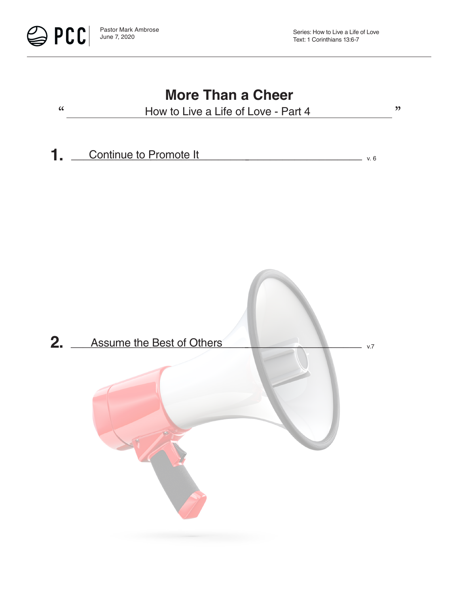